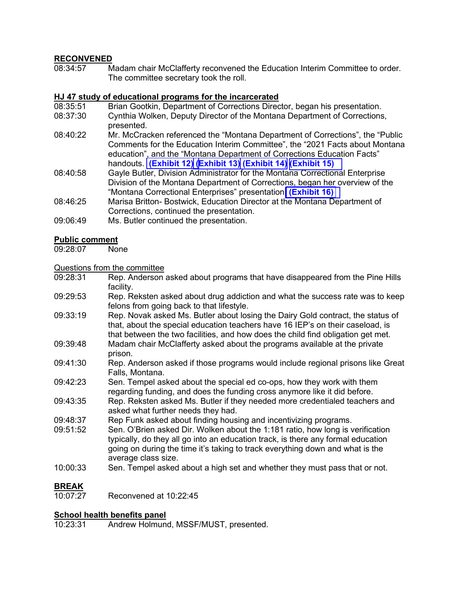### **RECONVENED**

08:34:57 Madam chair McClafferty reconvened the Education Interim Committee to order. The committee secretary took the roll.

### **HJ 47 study of educational programs for the incarcerated**

- 08:35:51 Brian Gootkin, Department of Corrections Director, began his presentation.
- 08:37:30 Cynthia Wolken, Deputy Director of the Montana Department of Corrections, presented.
- 08:40:22 Mr. McCracken referenced the "Montana Department of Corrections", the "Public Comments for the Education Interim Committee", the "2021 Facts about Montana education", and the "Montana Department of Corrections Education Facts" handouts. **[\(Exhibit 12\)](https://leg.mt.gov/content/Committees/Interim/2021-2022/Local-Gov/21_Sept/MCE-Pre-Apprenticeship-Overview-2021.pdf) [\(Exhibit 13\)](https://leg.mt.gov/content/Committees/Interim/2021-2022/Education/Meetings/Sept-2021/PublicComment.pdf) [\(Exhibit 14\)](https://leg.mt.gov/content/Committees/Interim/2021-2022/Education/Meetings/Sept-2021/FactsAboutMontana.pdf) [\(Exhibit 15\)](https://leg.mt.gov/content/Committees/Interim/2021-2022/Education/Meetings/Sept-2021/CorrectionsEducationFacts.pdf)**
- 08:40:58 Gayle Butler, Division Administrator for the Montana Correctional Enterprise Division of the Montana Department of Corrections, began her overview of the "Montana Correctional Enterprises" presentation. **[\(Exhibit 16\)](https://leg.mt.gov/content/Committees/Interim/2021-2022/Local-Gov/21_Sept/DOC-HJ47-Education-Interim-Committee-9-14-2021.pdf)**
- 08:46:25 Marisa Britton- Bostwick, Education Director at the Montana Department of Corrections, continued the presentation.
- 09:06:49 Ms. Butler continued the presentation.

# **Public comment**<br>09:28:07 None

 $09:28:07$ 

# Questions from the committee<br>09:28:31 Rep. Anderson

- Rep. Anderson asked about programs that have disappeared from the Pine Hills facility.
- 09:29:53 Rep. Reksten asked about drug addiction and what the success rate was to keep felons from going back to that lifestyle.
- 09:33:19 Rep. Novak asked Ms. Butler about losing the Dairy Gold contract, the status of that, about the special education teachers have 16 IEP's on their caseload, is that between the two facilities, and how does the child find obligation get met.
- 09:39:48 Madam chair McClafferty asked about the programs available at the private prison.
- 09:41:30 Rep. Anderson asked if those programs would include regional prisons like Great Falls, Montana.
- 09:42:23 Sen. Tempel asked about the special ed co-ops, how they work with them regarding funding, and does the funding cross anymore like it did before.
- 09:43:35 Rep. Reksten asked Ms. Butler if they needed more credentialed teachers and asked what further needs they had.
- 09:48:37 Rep Funk asked about finding housing and incentivizing programs.<br>09:51:52 Sen. O'Brien asked Dir. Wolken about the 1:181 ratio. how long is v
- Sen. O'Brien asked Dir. Wolken about the 1:181 ratio, how long is verification typically, do they all go into an education track, is there any formal education going on during the time it's taking to track everything down and what is the average class size.
- 10:00:33 Sen. Tempel asked about a high set and whether they must pass that or not.

### **BREAK**

10:07:27 Reconvened at 10:22:45

# **School health benefits panel**<br>10:23:31 Andrew Holmune

Andrew Holmund, MSSF/MUST, presented.